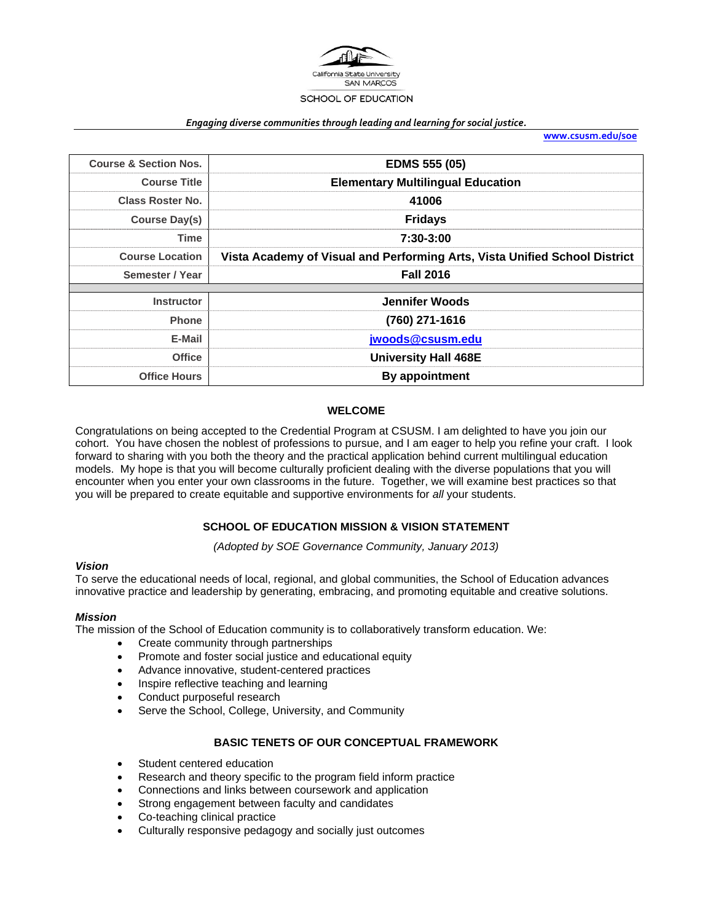

#### *Engaging diverse communities through leading and learning for social justice.*

**www.csusm.edu/soe**

| <b>Course &amp; Section Nos.</b> | <b>EDMS 555 (05)</b>                                                       |  |  |  |
|----------------------------------|----------------------------------------------------------------------------|--|--|--|
| <b>Course Title</b>              | <b>Elementary Multilingual Education</b>                                   |  |  |  |
| Class Roster No.                 | 41006                                                                      |  |  |  |
| Course Day(s)                    | <b>Fridays</b>                                                             |  |  |  |
| Time                             | 7:30-3:00                                                                  |  |  |  |
| <b>Course Location</b>           | Vista Academy of Visual and Performing Arts, Vista Unified School District |  |  |  |
| Semester / Year                  | <b>Fall 2016</b>                                                           |  |  |  |
|                                  |                                                                            |  |  |  |
| <b>Instructor</b>                | <b>Jennifer Woods</b>                                                      |  |  |  |
| <b>Phone</b>                     | (760) 271-1616                                                             |  |  |  |
| E-Mail                           | jwoods@csusm.edu                                                           |  |  |  |
| <b>Office</b>                    | <b>University Hall 468E</b>                                                |  |  |  |
| <b>Office Hours</b>              | By appointment                                                             |  |  |  |

#### **WELCOME**

Congratulations on being accepted to the Credential Program at CSUSM. I am delighted to have you join our cohort. You have chosen the noblest of professions to pursue, and I am eager to help you refine your craft. I look forward to sharing with you both the theory and the practical application behind current multilingual education models. My hope is that you will become culturally proficient dealing with the diverse populations that you will encounter when you enter your own classrooms in the future. Together, we will examine best practices so that you will be prepared to create equitable and supportive environments for *all* your students.

#### **SCHOOL OF EDUCATION MISSION & VISION STATEMENT**

*(Adopted by SOE Governance Community, January 2013)* 

#### *Vision*

To serve the educational needs of local, regional, and global communities, the School of Education advances innovative practice and leadership by generating, embracing, and promoting equitable and creative solutions.

#### *Mission*

The mission of the School of Education community is to collaboratively transform education. We:

- Create community through partnerships
- Promote and foster social justice and educational equity
- Advance innovative, student-centered practices
- Inspire reflective teaching and learning
- Conduct purposeful research
- Serve the School, College, University, and Community

### **BASIC TENETS OF OUR CONCEPTUAL FRAMEWORK**

- Student centered education
- Research and theory specific to the program field inform practice
- Connections and links between coursework and application
- Strong engagement between faculty and candidates
- Co-teaching clinical practice
- Culturally responsive pedagogy and socially just outcomes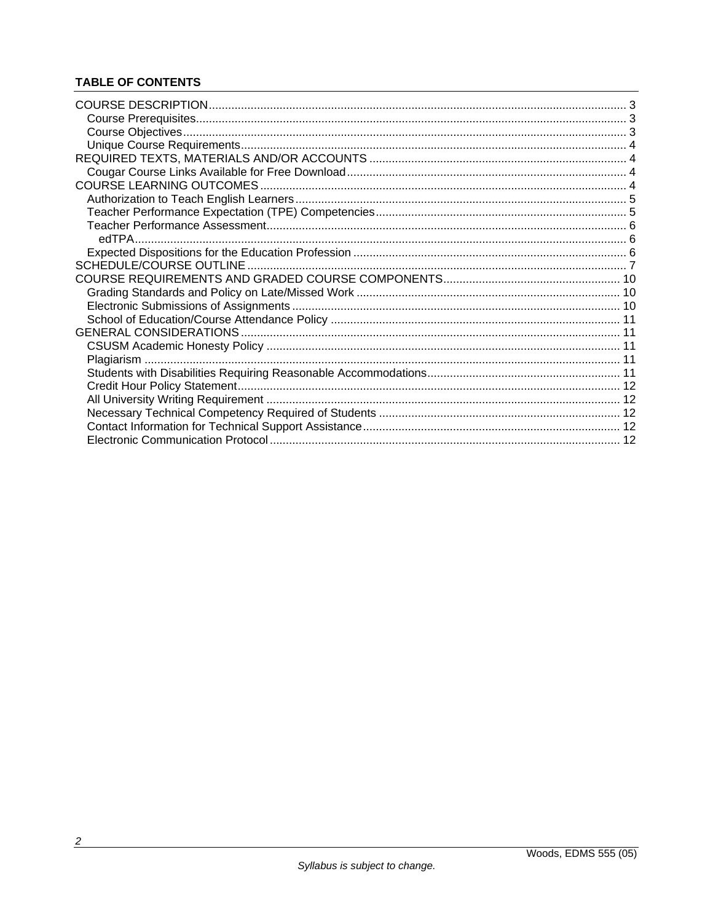# **TABLE OF CONTENTS**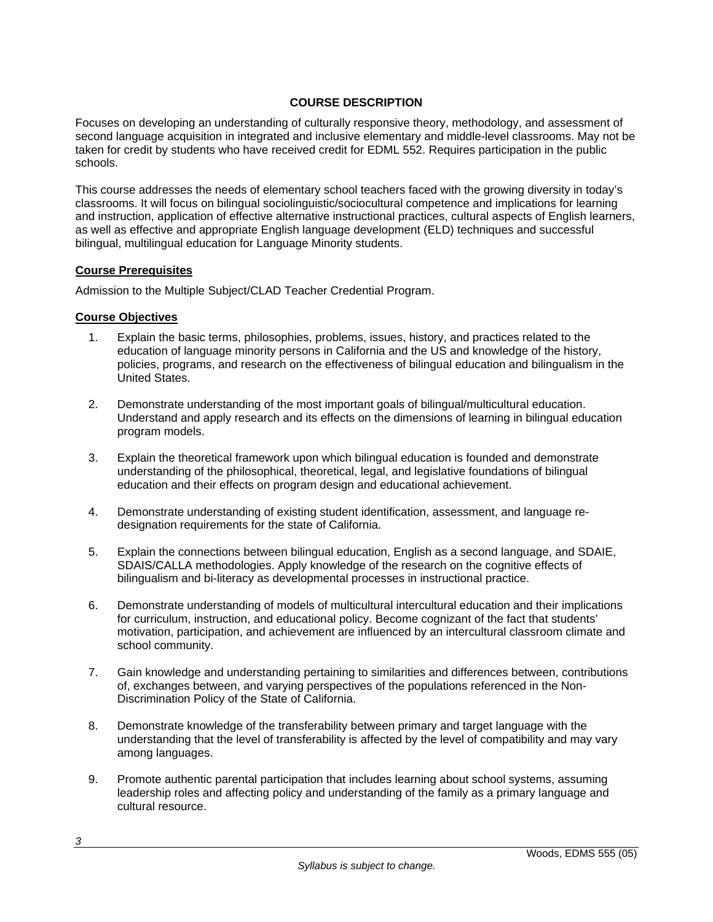# **COURSE DESCRIPTION**

Focuses on developing an understanding of culturally responsive theory, methodology, and assessment of second language acquisition in integrated and inclusive elementary and middle-level classrooms. May not be taken for credit by students who have received credit for EDML 552. Requires participation in the public schools.

This course addresses the needs of elementary school teachers faced with the growing diversity in today's classrooms. It will focus on bilingual sociolinguistic/sociocultural competence and implications for learning and instruction, application of effective alternative instructional practices, cultural aspects of English learners, as well as effective and appropriate English language development (ELD) techniques and successful bilingual, multilingual education for Language Minority students.

### **Course Prerequisites**

Admission to the Multiple Subject/CLAD Teacher Credential Program.

### **Course Objectives**

- 1. Explain the basic terms, philosophies, problems, issues, history, and practices related to the education of language minority persons in California and the US and knowledge of the history, policies, programs, and research on the effectiveness of bilingual education and bilingualism in the United States.
- 2. Demonstrate understanding of the most important goals of bilingual/multicultural education. Understand and apply research and its effects on the dimensions of learning in bilingual education program models.
- 3. Explain the theoretical framework upon which bilingual education is founded and demonstrate understanding of the philosophical, theoretical, legal, and legislative foundations of bilingual education and their effects on program design and educational achievement.
- 4. Demonstrate understanding of existing student identification, assessment, and language redesignation requirements for the state of California.
- 5. Explain the connections between bilingual education, English as a second language, and SDAIE, SDAIS/CALLA methodologies. Apply knowledge of the research on the cognitive effects of bilingualism and bi-literacy as developmental processes in instructional practice.
- 6. Demonstrate understanding of models of multicultural intercultural education and their implications for curriculum, instruction, and educational policy. Become cognizant of the fact that students' motivation, participation, and achievement are influenced by an intercultural classroom climate and school community.
- 7. Gain knowledge and understanding pertaining to similarities and differences between, contributions of, exchanges between, and varying perspectives of the populations referenced in the Non-Discrimination Policy of the State of California.
- 8. Demonstrate knowledge of the transferability between primary and target language with the understanding that the level of transferability is affected by the level of compatibility and may vary among languages.
- 9. Promote authentic parental participation that includes learning about school systems, assuming leadership roles and affecting policy and understanding of the family as a primary language and cultural resource.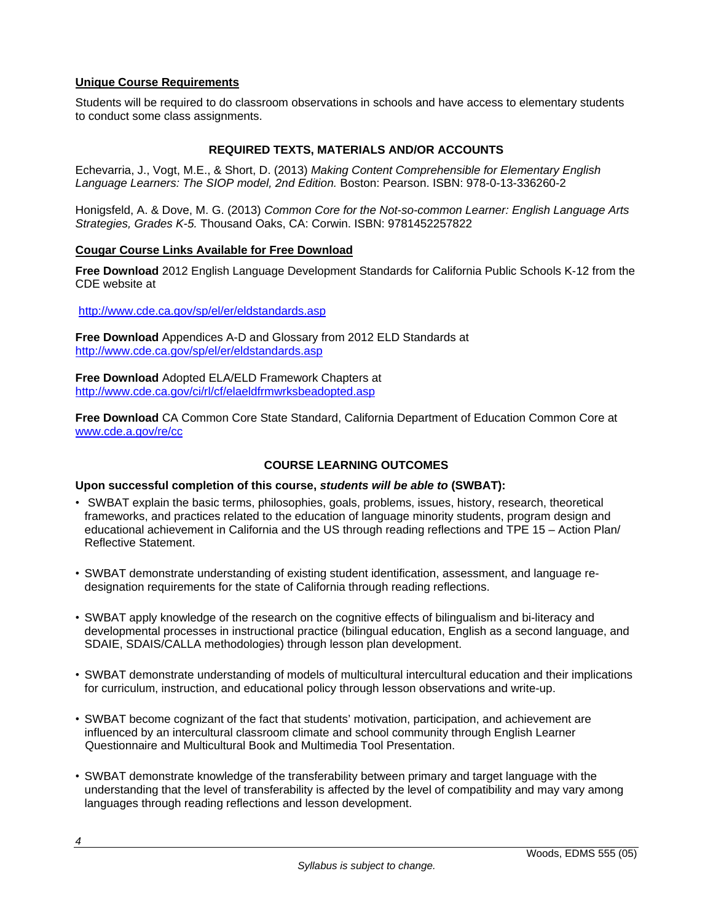# **Unique Course Requirements**

Students will be required to do classroom observations in schools and have access to elementary students to conduct some class assignments.

# **REQUIRED TEXTS, MATERIALS AND/OR ACCOUNTS**

Echevarria, J., Vogt, M.E., & Short, D. (2013) *Making Content Comprehensible for Elementary English Language Learners: The SIOP model, 2nd Edition.* Boston: Pearson. ISBN: 978-0-13-336260-2

Honigsfeld, A. & Dove, M. G. (2013) *Common Core for the Not-so-common Learner: English Language Arts Strategies, Grades K-5.* Thousand Oaks, CA: Corwin. ISBN: 9781452257822

### **Cougar Course Links Available for Free Download**

**Free Download** 2012 English Language Development Standards for California Public Schools K-12 from the CDE website at

http://www.cde.ca.gov/sp/el/er/eldstandards.asp

**Free Download** Appendices A-D and Glossary from 2012 ELD Standards at http://www.cde.ca.gov/sp/el/er/eldstandards.asp

**Free Download** Adopted ELA/ELD Framework Chapters at http://www.cde.ca.gov/ci/rl/cf/elaeldfrmwrksbeadopted.asp

**Free Download** CA Common Core State Standard, California Department of Education Common Core at www.cde.a.gov/re/cc

# **COURSE LEARNING OUTCOMES**

#### **Upon successful completion of this course,** *students will be able to* **(SWBAT):**

- SWBAT explain the basic terms, philosophies, goals, problems, issues, history, research, theoretical frameworks, and practices related to the education of language minority students, program design and educational achievement in California and the US through reading reflections and TPE 15 – Action Plan/ Reflective Statement.
- SWBAT demonstrate understanding of existing student identification, assessment, and language redesignation requirements for the state of California through reading reflections.
- SWBAT apply knowledge of the research on the cognitive effects of bilingualism and bi-literacy and developmental processes in instructional practice (bilingual education, English as a second language, and SDAIE, SDAIS/CALLA methodologies) through lesson plan development.
- SWBAT demonstrate understanding of models of multicultural intercultural education and their implications for curriculum, instruction, and educational policy through lesson observations and write-up.
- SWBAT become cognizant of the fact that students' motivation, participation, and achievement are influenced by an intercultural classroom climate and school community through English Learner Questionnaire and Multicultural Book and Multimedia Tool Presentation.
- SWBAT demonstrate knowledge of the transferability between primary and target language with the understanding that the level of transferability is affected by the level of compatibility and may vary among languages through reading reflections and lesson development.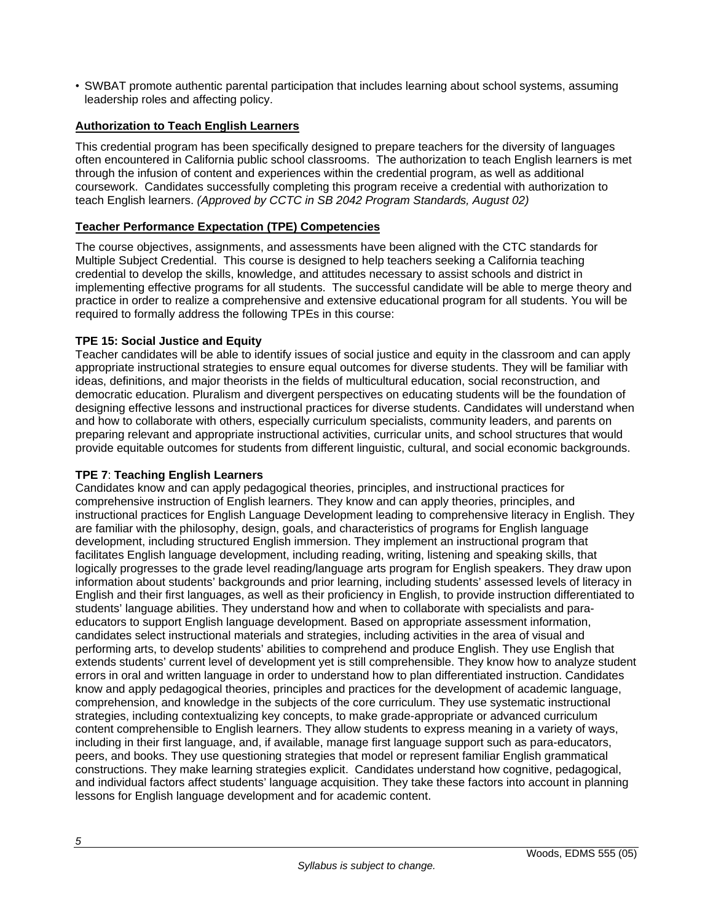• SWBAT promote authentic parental participation that includes learning about school systems, assuming leadership roles and affecting policy.

# **Authorization to Teach English Learners**

This credential program has been specifically designed to prepare teachers for the diversity of languages often encountered in California public school classrooms. The authorization to teach English learners is met through the infusion of content and experiences within the credential program, as well as additional coursework. Candidates successfully completing this program receive a credential with authorization to teach English learners. *(Approved by CCTC in SB 2042 Program Standards, August 02)*

# **Teacher Performance Expectation (TPE) Competencies**

The course objectives, assignments, and assessments have been aligned with the CTC standards for Multiple Subject Credential. This course is designed to help teachers seeking a California teaching credential to develop the skills, knowledge, and attitudes necessary to assist schools and district in implementing effective programs for all students. The successful candidate will be able to merge theory and practice in order to realize a comprehensive and extensive educational program for all students. You will be required to formally address the following TPEs in this course:

# **TPE 15: Social Justice and Equity**

Teacher candidates will be able to identify issues of social justice and equity in the classroom and can apply appropriate instructional strategies to ensure equal outcomes for diverse students. They will be familiar with ideas, definitions, and major theorists in the fields of multicultural education, social reconstruction, and democratic education. Pluralism and divergent perspectives on educating students will be the foundation of designing effective lessons and instructional practices for diverse students. Candidates will understand when and how to collaborate with others, especially curriculum specialists, community leaders, and parents on preparing relevant and appropriate instructional activities, curricular units, and school structures that would provide equitable outcomes for students from different linguistic, cultural, and social economic backgrounds.

# **TPE 7**: **Teaching English Learners**

Candidates know and can apply pedagogical theories, principles, and instructional practices for comprehensive instruction of English learners. They know and can apply theories, principles, and instructional practices for English Language Development leading to comprehensive literacy in English. They are familiar with the philosophy, design, goals, and characteristics of programs for English language development, including structured English immersion. They implement an instructional program that facilitates English language development, including reading, writing, listening and speaking skills, that logically progresses to the grade level reading/language arts program for English speakers. They draw upon information about students' backgrounds and prior learning, including students' assessed levels of literacy in English and their first languages, as well as their proficiency in English, to provide instruction differentiated to students' language abilities. They understand how and when to collaborate with specialists and paraeducators to support English language development. Based on appropriate assessment information, candidates select instructional materials and strategies, including activities in the area of visual and performing arts, to develop students' abilities to comprehend and produce English. They use English that extends students' current level of development yet is still comprehensible. They know how to analyze student errors in oral and written language in order to understand how to plan differentiated instruction. Candidates know and apply pedagogical theories, principles and practices for the development of academic language, comprehension, and knowledge in the subjects of the core curriculum. They use systematic instructional strategies, including contextualizing key concepts, to make grade-appropriate or advanced curriculum content comprehensible to English learners. They allow students to express meaning in a variety of ways, including in their first language, and, if available, manage first language support such as para-educators, peers, and books. They use questioning strategies that model or represent familiar English grammatical constructions. They make learning strategies explicit. Candidates understand how cognitive, pedagogical, and individual factors affect students' language acquisition. They take these factors into account in planning lessons for English language development and for academic content.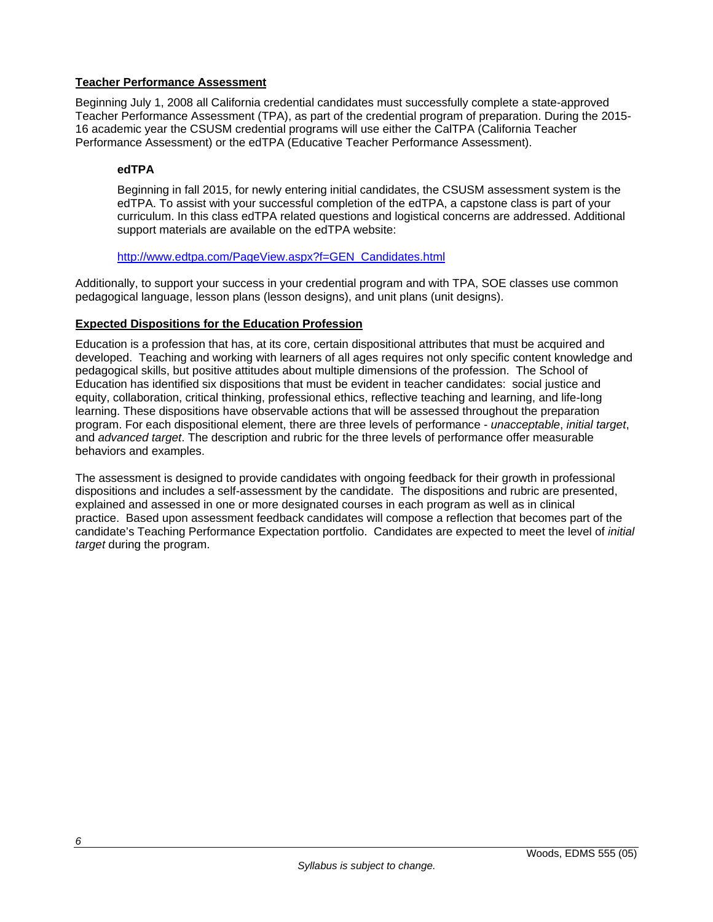# **Teacher Performance Assessment**

Beginning July 1, 2008 all California credential candidates must successfully complete a state-approved Teacher Performance Assessment (TPA), as part of the credential program of preparation. During the 2015- 16 academic year the CSUSM credential programs will use either the CalTPA (California Teacher Performance Assessment) or the edTPA (Educative Teacher Performance Assessment).

# **edTPA**

Beginning in fall 2015, for newly entering initial candidates, the CSUSM assessment system is the edTPA. To assist with your successful completion of the edTPA, a capstone class is part of your curriculum. In this class edTPA related questions and logistical concerns are addressed. Additional support materials are available on the edTPA website:

### http://www.edtpa.com/PageView.aspx?f=GEN\_Candidates.html

Additionally, to support your success in your credential program and with TPA, SOE classes use common pedagogical language, lesson plans (lesson designs), and unit plans (unit designs).

# **Expected Dispositions for the Education Profession**

Education is a profession that has, at its core, certain dispositional attributes that must be acquired and developed. Teaching and working with learners of all ages requires not only specific content knowledge and pedagogical skills, but positive attitudes about multiple dimensions of the profession. The School of Education has identified six dispositions that must be evident in teacher candidates: social justice and equity, collaboration, critical thinking, professional ethics, reflective teaching and learning, and life-long learning. These dispositions have observable actions that will be assessed throughout the preparation program. For each dispositional element, there are three levels of performance - *unacceptable*, *initial target*, and *advanced target*. The description and rubric for the three levels of performance offer measurable behaviors and examples.

The assessment is designed to provide candidates with ongoing feedback for their growth in professional dispositions and includes a self-assessment by the candidate. The dispositions and rubric are presented, explained and assessed in one or more designated courses in each program as well as in clinical practice. Based upon assessment feedback candidates will compose a reflection that becomes part of the candidate's Teaching Performance Expectation portfolio. Candidates are expected to meet the level of *initial target* during the program.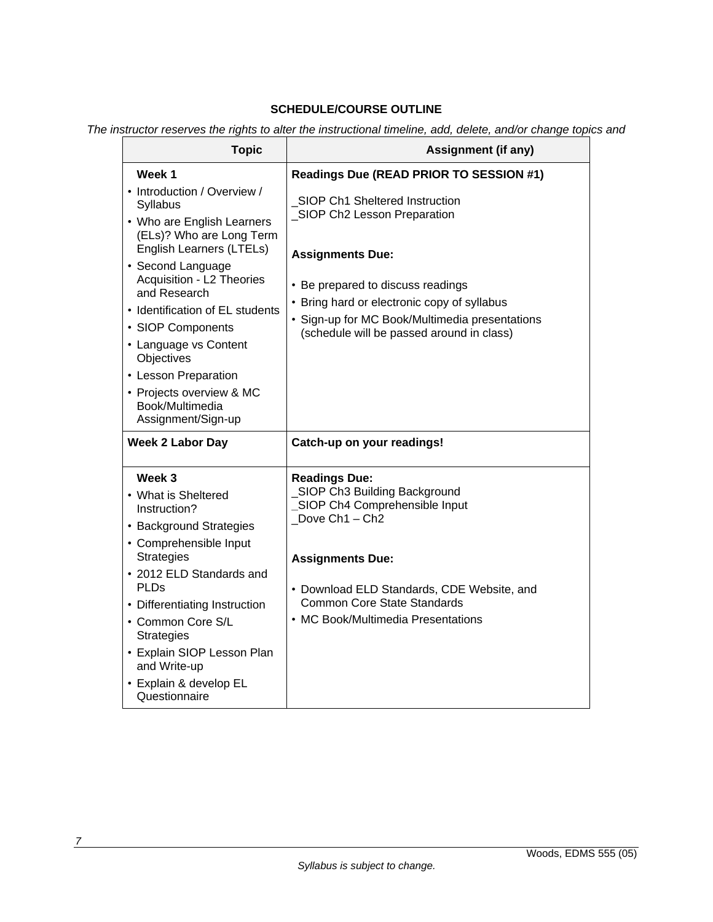# **SCHEDULE/COURSE OUTLINE**

*The instructor reserves the rights to alter the instructional timeline, add, delete, and/or change topics and* 

| <b>Topic</b>                                                                                                                                                                                                                                                                                                                                                                                | <b>Assignment (if any)</b>                                                                                                                                                                                                                                                   |  |  |
|---------------------------------------------------------------------------------------------------------------------------------------------------------------------------------------------------------------------------------------------------------------------------------------------------------------------------------------------------------------------------------------------|------------------------------------------------------------------------------------------------------------------------------------------------------------------------------------------------------------------------------------------------------------------------------|--|--|
| Week 1                                                                                                                                                                                                                                                                                                                                                                                      | Readings Due (READ PRIOR TO SESSION #1)                                                                                                                                                                                                                                      |  |  |
| • Introduction / Overview /<br>Syllabus<br>• Who are English Learners<br>(ELs)? Who are Long Term<br>English Learners (LTELs)<br>• Second Language<br>Acquisition - L2 Theories<br>and Research<br>• Identification of EL students<br>• SIOP Components<br>• Language vs Content<br>Objectives<br>• Lesson Preparation<br>• Projects overview & MC<br>Book/Multimedia<br>Assignment/Sign-up | SIOP Ch1 Sheltered Instruction<br>_SIOP Ch2 Lesson Preparation<br><b>Assignments Due:</b><br>• Be prepared to discuss readings<br>• Bring hard or electronic copy of syllabus<br>• Sign-up for MC Book/Multimedia presentations<br>(schedule will be passed around in class) |  |  |
| <b>Week 2 Labor Day</b>                                                                                                                                                                                                                                                                                                                                                                     | Catch-up on your readings!                                                                                                                                                                                                                                                   |  |  |
| Week 3<br>• What is Sheltered<br>Instruction?<br>• Background Strategies<br>• Comprehensible Input<br><b>Strategies</b><br>• 2012 ELD Standards and<br>PLDs<br>• Differentiating Instruction<br>• Common Core S/L<br><b>Strategies</b><br>• Explain SIOP Lesson Plan<br>and Write-up<br>• Explain & develop EL<br>Questionnaire                                                             | <b>Readings Due:</b><br>SIOP Ch3 Building Background<br>SIOP Ch4 Comprehensible Input<br>Dove Ch1 - Ch2<br><b>Assignments Due:</b><br>• Download ELD Standards, CDE Website, and<br><b>Common Core State Standards</b><br>• MC Book/Multimedia Presentations                 |  |  |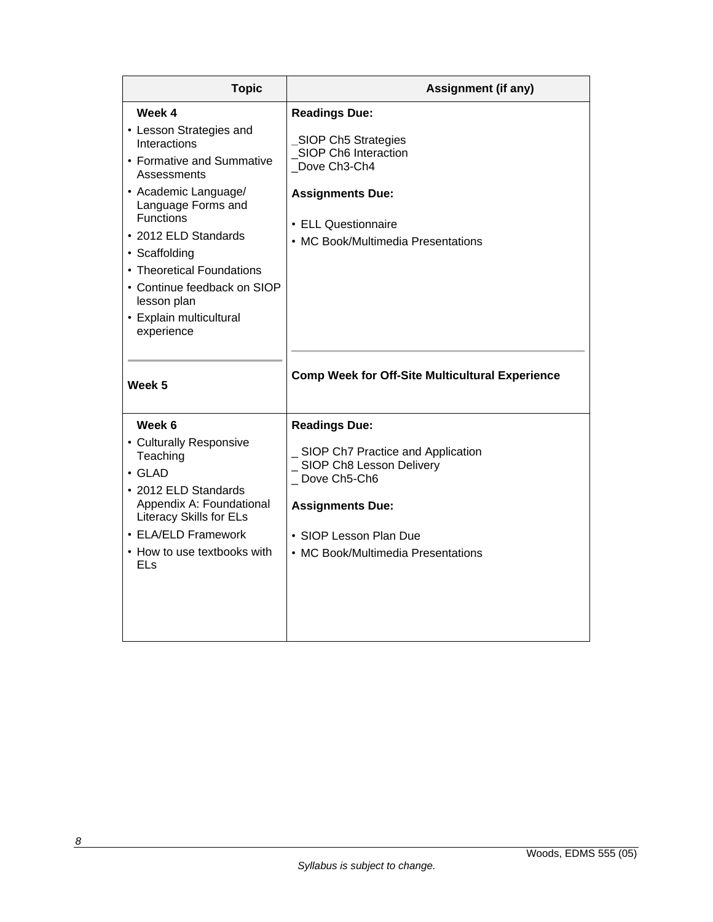| <b>Topic</b>                                                                                                                                                                                                                                                                                                                 | <b>Assignment (if any)</b>                                                                                                                                                                          |  |  |
|------------------------------------------------------------------------------------------------------------------------------------------------------------------------------------------------------------------------------------------------------------------------------------------------------------------------------|-----------------------------------------------------------------------------------------------------------------------------------------------------------------------------------------------------|--|--|
| Week 4<br>• Lesson Strategies and<br>Interactions<br>• Formative and Summative<br>Assessments<br>• Academic Language/<br>Language Forms and<br><b>Functions</b><br>• 2012 ELD Standards<br>• Scaffolding<br>• Theoretical Foundations<br>• Continue feedback on SIOP<br>lesson plan<br>• Explain multicultural<br>experience | <b>Readings Due:</b><br>SIOP Ch5 Strategies<br>SIOP Ch6 Interaction<br>Dove Ch3-Ch4<br><b>Assignments Due:</b><br>• ELL Questionnaire<br>• MC Book/Multimedia Presentations                         |  |  |
| Week 5                                                                                                                                                                                                                                                                                                                       | <b>Comp Week for Off-Site Multicultural Experience</b>                                                                                                                                              |  |  |
| Week 6<br>• Culturally Responsive<br>Teaching<br>$\cdot$ GLAD<br>• 2012 ELD Standards<br>Appendix A: Foundational<br><b>Literacy Skills for ELs</b><br>• ELA/ELD Framework<br>• How to use textbooks with<br>ELS                                                                                                             | <b>Readings Due:</b><br>SIOP Ch7 Practice and Application<br>_ SIOP Ch8 Lesson Delivery<br>_Dove Ch5-Ch6<br><b>Assignments Due:</b><br>• SIOP Lesson Plan Due<br>• MC Book/Multimedia Presentations |  |  |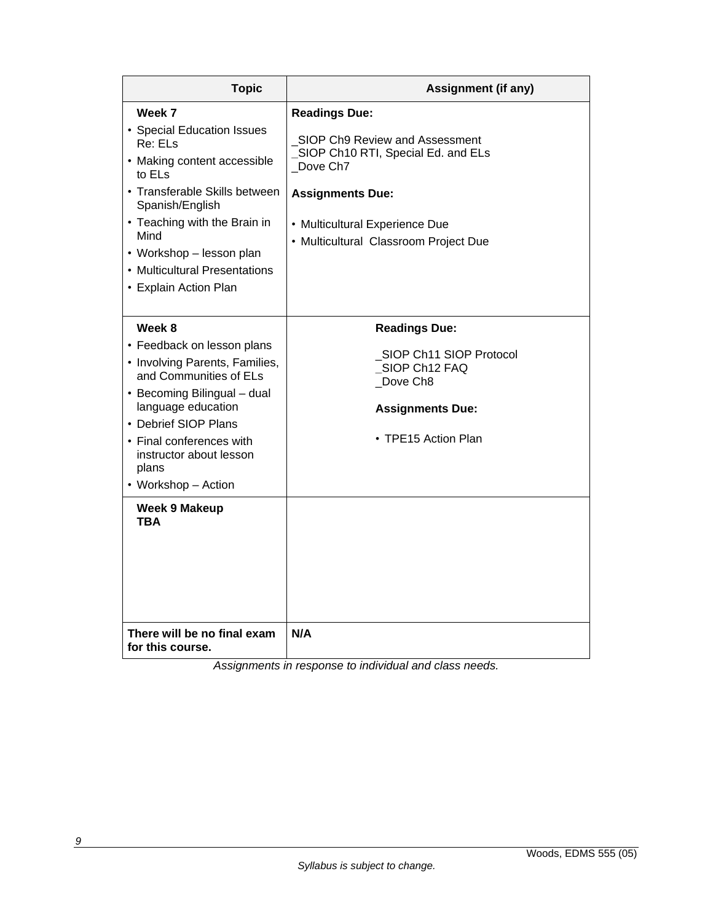| <b>Topic</b>                                                                                                                                                                                                                                                               | <b>Assignment (if any)</b>                                                                                                                                                                                     |  |
|----------------------------------------------------------------------------------------------------------------------------------------------------------------------------------------------------------------------------------------------------------------------------|----------------------------------------------------------------------------------------------------------------------------------------------------------------------------------------------------------------|--|
| Week 7<br>• Special Education Issues<br>Re: ELs<br>• Making content accessible<br>to ELs<br>• Transferable Skills between<br>Spanish/English<br>• Teaching with the Brain in<br>Mind<br>• Workshop – lesson plan<br>• Multicultural Presentations<br>• Explain Action Plan | <b>Readings Due:</b><br>SIOP Ch9 Review and Assessment<br>SIOP Ch10 RTI, Special Ed. and ELs<br>Dove Ch7<br><b>Assignments Due:</b><br>• Multicultural Experience Due<br>• Multicultural Classroom Project Due |  |
| Week 8<br>• Feedback on lesson plans<br>• Involving Parents, Families,<br>and Communities of ELs<br>• Becoming Bilingual – dual<br>language education<br>• Debrief SIOP Plans<br>• Final conferences with<br>instructor about lesson<br>plans<br>• Workshop - Action       | <b>Readings Due:</b><br>SIOP Ch11 SIOP Protocol<br>SIOP Ch12 FAQ<br>Dove Ch8<br><b>Assignments Due:</b><br>• TPE15 Action Plan                                                                                 |  |
| <b>Week 9 Makeup</b><br>TBA<br>There will be no final exam<br>for this course.                                                                                                                                                                                             | N/A                                                                                                                                                                                                            |  |

*Assignments in response to individual and class needs.*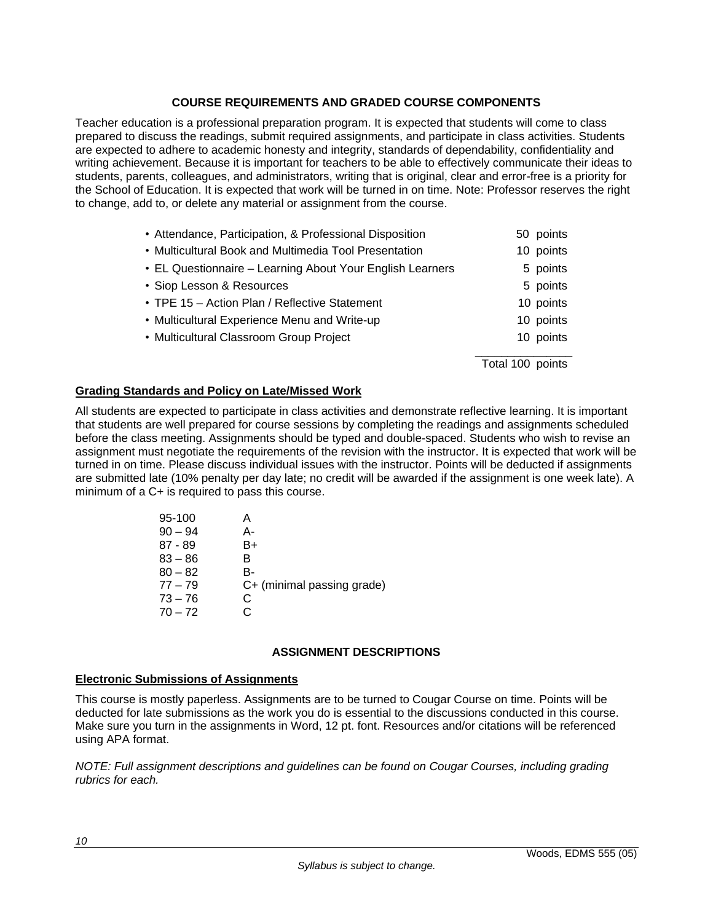# **COURSE REQUIREMENTS AND GRADED COURSE COMPONENTS**

Teacher education is a professional preparation program. It is expected that students will come to class prepared to discuss the readings, submit required assignments, and participate in class activities. Students are expected to adhere to academic honesty and integrity, standards of dependability, confidentiality and writing achievement. Because it is important for teachers to be able to effectively communicate their ideas to students, parents, colleagues, and administrators, writing that is original, clear and error-free is a priority for the School of Education. It is expected that work will be turned in on time. Note: Professor reserves the right to change, add to, or delete any material or assignment from the course.

| • Attendance, Participation, & Professional Disposition   | 50 points        |
|-----------------------------------------------------------|------------------|
| • Multicultural Book and Multimedia Tool Presentation     | 10 points        |
| • EL Questionnaire - Learning About Your English Learners | 5 points         |
| • Siop Lesson & Resources                                 | 5 points         |
| • TPE 15 - Action Plan / Reflective Statement             | 10 points        |
| • Multicultural Experience Menu and Write-up              | 10 points        |
| • Multicultural Classroom Group Project                   | 10 points        |
|                                                           | Total 100 points |

# **Grading Standards and Policy on Late/Missed Work**

All students are expected to participate in class activities and demonstrate reflective learning. It is important that students are well prepared for course sessions by completing the readings and assignments scheduled before the class meeting. Assignments should be typed and double-spaced. Students who wish to revise an assignment must negotiate the requirements of the revision with the instructor. It is expected that work will be turned in on time. Please discuss individual issues with the instructor. Points will be deducted if assignments are submitted late (10% penalty per day late; no credit will be awarded if the assignment is one week late). A minimum of a C+ is required to pass this course.

| 95-100    |    |                            |
|-----------|----|----------------------------|
| $90 - 94$ | А- |                            |
| $87 - 89$ | B+ |                            |
| $83 - 86$ | B. |                            |
| $80 - 82$ | B- |                            |
| $77 - 79$ |    | C+ (minimal passing grade) |
| $73 - 76$ | C  |                            |
| $70 - 72$ |    |                            |
|           |    |                            |

# **ASSIGNMENT DESCRIPTIONS**

#### **Electronic Submissions of Assignments**

This course is mostly paperless. Assignments are to be turned to Cougar Course on time. Points will be deducted for late submissions as the work you do is essential to the discussions conducted in this course. Make sure you turn in the assignments in Word, 12 pt. font. Resources and/or citations will be referenced using APA format.

*NOTE: Full assignment descriptions and guidelines can be found on Cougar Courses, including grading rubrics for each.*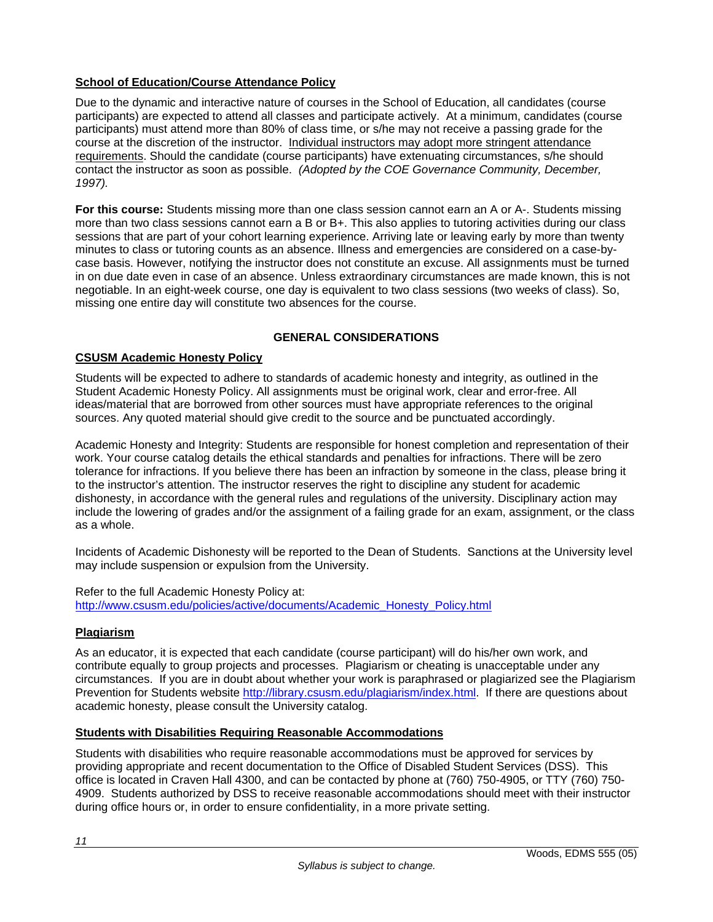# **School of Education/Course Attendance Policy**

Due to the dynamic and interactive nature of courses in the School of Education, all candidates (course participants) are expected to attend all classes and participate actively. At a minimum, candidates (course participants) must attend more than 80% of class time, or s/he may not receive a passing grade for the course at the discretion of the instructor. Individual instructors may adopt more stringent attendance requirements. Should the candidate (course participants) have extenuating circumstances, s/he should contact the instructor as soon as possible. *(Adopted by the COE Governance Community, December, 1997).*

**For this course:** Students missing more than one class session cannot earn an A or A-. Students missing more than two class sessions cannot earn a B or B+. This also applies to tutoring activities during our class sessions that are part of your cohort learning experience. Arriving late or leaving early by more than twenty minutes to class or tutoring counts as an absence. Illness and emergencies are considered on a case-bycase basis. However, notifying the instructor does not constitute an excuse. All assignments must be turned in on due date even in case of an absence. Unless extraordinary circumstances are made known, this is not negotiable. In an eight-week course, one day is equivalent to two class sessions (two weeks of class). So, missing one entire day will constitute two absences for the course.

# **GENERAL CONSIDERATIONS**

# **CSUSM Academic Honesty Policy**

Students will be expected to adhere to standards of academic honesty and integrity, as outlined in the Student Academic Honesty Policy. All assignments must be original work, clear and error-free. All ideas/material that are borrowed from other sources must have appropriate references to the original sources. Any quoted material should give credit to the source and be punctuated accordingly.

Academic Honesty and Integrity: Students are responsible for honest completion and representation of their work. Your course catalog details the ethical standards and penalties for infractions. There will be zero tolerance for infractions. If you believe there has been an infraction by someone in the class, please bring it to the instructor's attention. The instructor reserves the right to discipline any student for academic dishonesty, in accordance with the general rules and regulations of the university. Disciplinary action may include the lowering of grades and/or the assignment of a failing grade for an exam, assignment, or the class as a whole.

Incidents of Academic Dishonesty will be reported to the Dean of Students. Sanctions at the University level may include suspension or expulsion from the University.

Refer to the full Academic Honesty Policy at: http://www.csusm.edu/policies/active/documents/Academic\_Honesty\_Policy.html

# **Plagiarism**

As an educator, it is expected that each candidate (course participant) will do his/her own work, and contribute equally to group projects and processes. Plagiarism or cheating is unacceptable under any circumstances. If you are in doubt about whether your work is paraphrased or plagiarized see the Plagiarism Prevention for Students website http://library.csusm.edu/plagiarism/index.html. If there are questions about academic honesty, please consult the University catalog.

# **Students with Disabilities Requiring Reasonable Accommodations**

Students with disabilities who require reasonable accommodations must be approved for services by providing appropriate and recent documentation to the Office of Disabled Student Services (DSS). This office is located in Craven Hall 4300, and can be contacted by phone at (760) 750-4905, or TTY (760) 750- 4909. Students authorized by DSS to receive reasonable accommodations should meet with their instructor during office hours or, in order to ensure confidentiality, in a more private setting.